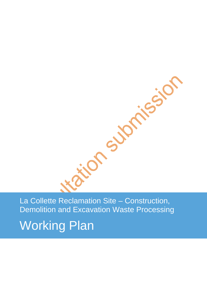La Collette Reclamation Site – Construction, Demolition and Excavation Waste Processing

Working Plan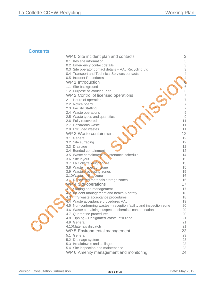# **Contents**

| WP 0 Site incident plan and contacts                                       | 3                         |
|----------------------------------------------------------------------------|---------------------------|
| 0.1 Key site information                                                   | $\ensuremath{\mathsf{3}}$ |
| 0.2 Emergency contact details                                              | 3                         |
| 0.3 Site operator contact details - AAL Recycling Ltd                      | 3                         |
| 0.4 Transport and Technical Services contacts                              | $\overline{4}$            |
| 0.5 Incident Procedures                                                    | 4                         |
| WP 1 Introduction                                                          | 6                         |
| 1.1 Site background                                                        | 6                         |
| 1.2 Purpose of Working Plan                                                | $\sqrt{6}$                |
| WP 2 Control of licensed operations                                        | $\overline{7}$            |
| 2.1 Hours of operation                                                     | $\overline{7}$            |
| 2.2 Notice board                                                           | $\overline{\mathcal{I}}$  |
| 2.3 Facility Staffing                                                      | $\overline{\mathcal{I}}$  |
| 2.4 Waste operations                                                       | $\hbox{9}$                |
| 2.5 Waste types and quantities                                             | $\hbox{9}$                |
| 2.6 Fully recovered                                                        | 11                        |
| 2.7 Hazardous waste<br>2.8 Excluded wastes                                 | 11<br>11                  |
| WP 3 Waste containment                                                     | 12                        |
| 3.1 General                                                                | 12                        |
| 3.2 Site surfacing                                                         | 12                        |
| 3.3 Drainage                                                               | 12                        |
| 3.4 Bunded containment                                                     | 12                        |
| 3.5 Waste containment maintenance schedule                                 | 14                        |
| 3.6 Site layout                                                            | 15                        |
| 3.7 La Collette weighbridge                                                | 15                        |
| 3.8 Waste inspection zone                                                  | 15                        |
| 3.9 Waste processing zones                                                 | 15                        |
| 3.10Waste infiling zone                                                    | 16                        |
| 3.11 Recovered materials storage zones                                     | 16                        |
| WP4 Ste operations                                                         | 17                        |
| 4.1 Staffing and management                                                | 17                        |
| 42 Incident management and health & safety                                 | 18                        |
| 4.3 TTS waste acceptance procedures<br>4.4 Waste acceptance procedures AAL | 18<br>19                  |
| 4.5 Non-conforming wastes - reception facility and inspection zone         | 20                        |
| 4.6 Waste containing suspected chemical contamination                      | 20                        |
| 4.7 Quarantine procedures                                                  | 20                        |
| 4.8 Tipping - Designated Waste Infill zone                                 | 21                        |
| 4.9 General                                                                | 21                        |
| 4.10Materials dispatch                                                     | 21                        |
| WP 5 Environmental management                                              | 23                        |
| 5.1 General                                                                | 23                        |
| 5.2 Drainage system                                                        | 23                        |
| 5.3 Breakdowns and spillages                                               | 23                        |
| 5.4 Site inspection and maintenance                                        | 23                        |
| WP 6 Amenity management and monitoring                                     | 24                        |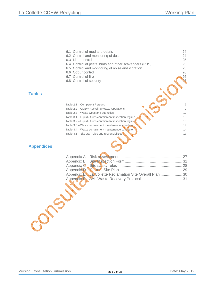|      | 6.1 Control of mud and debris                             | 24 |
|------|-----------------------------------------------------------|----|
|      | 6.2 Control and monitoring of dust                        | 24 |
|      | 6.3 Litter control                                        | 25 |
|      | 6.4 Control of pests, birds and other scavengers (PBS)    | 25 |
|      | 6.5 Control and monitoring of noise and vibration         | 25 |
|      | 6.6 Odour control                                         | 26 |
|      | 6.7 Control of fire                                       | 26 |
|      | 6.8 Control of security                                   | 26 |
|      |                                                           |    |
|      | Table 2.1 - Competent Persons                             | 7  |
|      | Table 2.2 – CDEW Recycling Waste Operations               | 9  |
|      | Table 2.3 – Waste types and quantities                    | 10 |
|      | Table 3.1 - Liquid / fluids containment inspection regime | 13 |
|      | Table 3.2 - Liquid / fluids containment inspection regime | 13 |
|      | Table 3.3 – Waste containment maintenance schedule        | 14 |
|      | Table 3.4 – Waste containment maintenance schedule        | 14 |
|      | Table $4.1$ – Site staff roles and responsibilities       | 17 |
| ices |                                                           |    |
|      |                                                           |    |

# **Appendi**

**Tables**

| Appendix E La Collette Reclamation Site Overall Plan  30 |  |
|----------------------------------------------------------|--|
|                                                          |  |
|                                                          |  |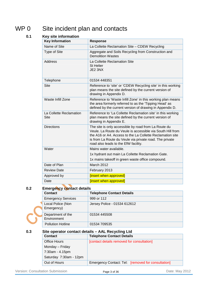# WP 0 Site incident plan and contacts

# **0.1 Key site information**

| <b>Key Information</b>                 | Response                                                                                                                                                                                                                                                                           |  |  |
|----------------------------------------|------------------------------------------------------------------------------------------------------------------------------------------------------------------------------------------------------------------------------------------------------------------------------------|--|--|
| Name of Site                           | La Collette Reclamation Site - CDEW Recycling                                                                                                                                                                                                                                      |  |  |
| <b>Type of Site</b>                    | Aggregate and Soils Recycling from Construction and<br><b>Demolition Wastes</b>                                                                                                                                                                                                    |  |  |
| <b>Address</b>                         | La Collette Reclamation Site<br><b>St Helier</b><br>JE2 3NX                                                                                                                                                                                                                        |  |  |
| Telephone                              | 01534 448351                                                                                                                                                                                                                                                                       |  |  |
| <b>Site</b>                            | Reference to 'site' or 'CDEW Recycling site' in this working<br>plan means the site defined by the current version of<br>drawing in Appendix D.                                                                                                                                    |  |  |
| Waste Infill Zone                      | Reference to 'Waste Infill Zone' in this working plan means<br>the area formerly referred to as the 'Tipping Head' as<br>defined by the current version of drawing in Appendix D.                                                                                                  |  |  |
| La Collette Reclamation<br><b>Site</b> | Reference to 'La Collette Reclamation site' in this working<br>plan means the site defined by the current version of<br>drawing in Appendix E.                                                                                                                                     |  |  |
| <b>Directions</b>                      | The site is only accessible by road from La Route du<br>Veule, La Route du Veule is accessible via South Hill from<br>the A16 or A4. Access to the La Collette Reclamation site<br>is from La Route du Veule via private road. The private<br>road also leads to the EfW facility. |  |  |
| Water                                  | Mains water available.                                                                                                                                                                                                                                                             |  |  |
|                                        | 1x hydrant out main La Collette Reclamation Gate.                                                                                                                                                                                                                                  |  |  |
|                                        | 1x mains takeoff in green waste office compound.                                                                                                                                                                                                                                   |  |  |
| Date of Plan                           | March 2012                                                                                                                                                                                                                                                                         |  |  |
| <b>Review Date</b>                     | February 2013                                                                                                                                                                                                                                                                      |  |  |
| Approved by                            | [insert when approved]                                                                                                                                                                                                                                                             |  |  |
| Date                                   | [insert when approved]                                                                                                                                                                                                                                                             |  |  |

# **0.2 Emergency contact details**

| <b>Contact</b>                   | <b>Telephone Contact Details</b> |
|----------------------------------|----------------------------------|
| <b>Emergency Services</b>        | 999 or 112                       |
| Local Police (Non<br>Emergency)  | Jersey Police - 01534 612612     |
| Department of the<br>Environment | 01534 445508                     |
| <b>Pollution Hotline</b>         | 01534 709535                     |

# **0.3 Site operator contact details – AAL Recycling Ltd**

| <b>Contact</b>         | <b>Telephone Contact Details</b>                   |  |
|------------------------|----------------------------------------------------|--|
| Office Hours           | [contact details removed for consultation]         |  |
| Monday - Friday        |                                                    |  |
| 7:30am - 4.15pm        |                                                    |  |
| Saturday 7:30am - 12pm |                                                    |  |
| Out of Hours           | Emergency Contact: Tel: [removed for consultation] |  |

Version: Consultation Submission **Page 3 of 36** Page 3 of 36 Date: May 2012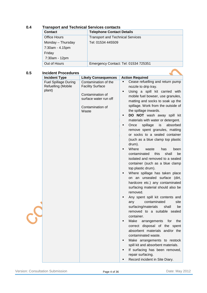# **Contact Contact Telephone Contact Details** Office Hours Monday – Thursday 7:30am - 4.15pm Friday 7:30am - 12pm Transport and Technical Services Tel: 01534 445509 Out of Hours **Emergency Contact: Tel: 01534 725351**

# **0.4 Transport and Technical Services contacts**

# **0.5 Incident Procedures**

| <b>Incident Procedures</b><br><b>Incident Type</b> | <b>Likely Consequences</b> | <b>Action Required</b>                           |
|----------------------------------------------------|----------------------------|--------------------------------------------------|
|                                                    | Contamination of the       | Cease refuelling and return pump                 |
| <b>Fuel Spillage During</b>                        | <b>Facility Surface</b>    |                                                  |
| Refuelling (Mobile                                 |                            | nozzle to drip tray.                             |
| plant)                                             | Contamination of           | Using a spill kit carried with<br>$\blacksquare$ |
|                                                    | surface water run off      | mobile fuel bowser, use granules,                |
|                                                    |                            | matting and socks to soak up the                 |
|                                                    | Contamination of           | spillage. Work from the outside of               |
|                                                    | Waste                      | the spillage inwards.                            |
|                                                    |                            | DO NOT wash away spill kit<br>Ξ                  |
|                                                    |                            | materials with water or detergent.               |
|                                                    |                            | absorbed<br>п                                    |
|                                                    |                            | spillage<br>is<br>Once                           |
|                                                    |                            | remove spent granules, matting                   |
|                                                    |                            | or socks to a sealed container                   |
|                                                    |                            | (such as a blue clamp top plastic                |
|                                                    |                            | drum).                                           |
|                                                    |                            | Where<br>waste<br>has<br>been<br>Е               |
|                                                    |                            | contaminated<br>this<br>shall<br>be              |
|                                                    |                            | isolated and removed to a sealed                 |
|                                                    |                            | container (such as a blue clamp                  |
|                                                    |                            | top plastic drum).                               |
|                                                    |                            | Where spillage has taken place                   |
|                                                    |                            | on an unsealed surface (dirt,                    |
|                                                    |                            |                                                  |
|                                                    |                            | hardcore etc.) any contaminated                  |
|                                                    |                            | surfacing material should also be                |
|                                                    |                            | removed.                                         |
|                                                    |                            | Any spent spill kit contents and                 |
|                                                    |                            | contaminated<br>site<br>any                      |
|                                                    |                            | surfacing/materials<br>shall<br>be               |
|                                                    |                            | removed to a suitable sealed                     |
|                                                    |                            | container.                                       |
|                                                    |                            | Make<br>the<br>arrangements<br>for               |
|                                                    |                            | correct disposal of the spent                    |
|                                                    |                            | absorbent materials and/or the                   |
|                                                    |                            |                                                  |
|                                                    |                            | contaminated waste.                              |
|                                                    |                            | Make arrangements to restock<br>Е                |
|                                                    |                            | spill kit and absorbent materials.               |
|                                                    |                            | If surfacing has been removed,                   |
|                                                    |                            | repair surfacing.                                |
|                                                    |                            | Record incident in Site Diary.                   |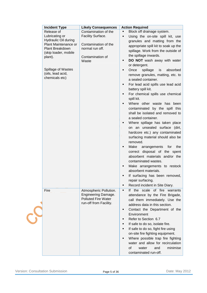| <b>Incident Type</b>                           | <b>Likely Consequences</b>                    | <b>Action Required</b>                                          |
|------------------------------------------------|-----------------------------------------------|-----------------------------------------------------------------|
| Release of                                     | Contamination of the                          | Block off drainage system.<br>٠                                 |
| Lubricating or                                 | Facility Surface.                             | Using the on-site spill kit, use<br>٠                           |
| <b>Hydraulic Oil during</b>                    |                                               | granules and matting from the                                   |
| Plant Maintenance or<br><b>Plant Breakdown</b> | Contamination of the<br>normal run off.       | appropriate spill kit to soak up the                            |
| (skip loader, mobile                           |                                               | spillage. Work from the outside of                              |
| plant).                                        | Contamination of                              | the spillage inwards.                                           |
|                                                | Waste                                         | DO NOT wash away with water<br>٠                                |
|                                                |                                               | or detergent.                                                   |
| Spillage of Wastes                             |                                               | spillage<br>Once<br>is<br>absorbed<br>٠                         |
| (oils, lead acid,                              |                                               | remove granules, matting, etc. to                               |
| chemicals etc)                                 |                                               | a sealed container.                                             |
|                                                |                                               | For lead acid spills use lead acid<br>٠                         |
|                                                |                                               | battery spill kit.                                              |
|                                                |                                               | For chemical spills use chemical<br>٠                           |
|                                                |                                               | spill kit.                                                      |
|                                                |                                               | Where other waste has been                                      |
|                                                |                                               | contaminated by the spill this                                  |
|                                                |                                               | shall be isolated and removed to                                |
|                                                |                                               | a sealed container.                                             |
|                                                |                                               | Where spillage has taken place<br>٠                             |
|                                                |                                               | on an unsealed surface (dirt,                                   |
|                                                |                                               | hardcore etc.) any contaminated                                 |
|                                                |                                               | surfacing material should also be                               |
|                                                |                                               | removed.                                                        |
|                                                |                                               | Make<br>arrangements for<br>the<br>٠                            |
|                                                |                                               | correct disposal of the spent                                   |
|                                                |                                               | absorbent materials and/or the                                  |
|                                                |                                               | contaminated wastes.                                            |
|                                                |                                               | Make arrangements to restock<br>٠                               |
|                                                |                                               | absorbent materials.                                            |
|                                                |                                               | If surfacing has been removed,                                  |
|                                                |                                               | repair surfacing.                                               |
|                                                |                                               | Record incident in Site Diary.<br>٠                             |
|                                                |                                               | the scale of fire<br>If<br>warrants<br>٠                        |
| Fire                                           | Atmospheric Pollution.<br>Engineering Damage. |                                                                 |
|                                                | <b>Polluted Fire Water</b>                    | attendance by the Fire Brigade,                                 |
|                                                | run-off from Facility.                        | call them immediately. Use the<br>address data in this section. |
|                                                |                                               |                                                                 |
|                                                |                                               | Contact the Department of the<br>٠                              |
|                                                |                                               | Environment                                                     |
|                                                |                                               | Refer to Section 6.7<br>٠                                       |
|                                                |                                               | If safe to do so, isolate fire.<br>٠                            |
|                                                |                                               | If safe to do so, fight fire using<br>٠                         |
|                                                |                                               | on-site fire fighting equipment.                                |
|                                                |                                               | Where possible trap fire fighting<br>٠                          |
|                                                |                                               | water and allow for recirculation                               |
|                                                |                                               | of<br>minimise<br>water<br>and                                  |
|                                                |                                               | contaminated run-off.                                           |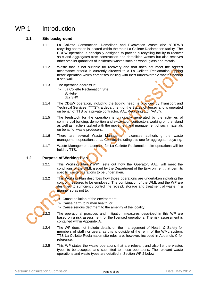# WP 1 Introduction

# **1.1 Site background**

- 1.1.1 La Collette Construction, Demolition and Excavation Waste (the "CDEW") recycling operation is located within the main La Collette Reclamation facility. The CDEW operation is principally designed to provide a recycling facility to recover soils and aggregates from construction and demolition wastes but also receives other smaller quantities of incidental wastes such as wood, glass and metals.
- 1.1.2 Waste that is not suitable for recovery and that does not meet the agreed acceptance criteria is currently directed to a La Collette Reclamation "tipping head" operation which comprises infilling with inert unrecoverable wastes behind a sea wall.
- 1.1.3 The operation address is:
	- > La Collette Reclamation Site St Helier JE2 3NX
- 1.1.4 The CDEW operation, including the tipping head, is provided by Transport and Technical Services ("TTS"), a department of the States of Jersey and is operated on behalf of TTS by a private contractor, AAL Recycling Ltd ("AAL").
- 1.1.5 The feedstock for the operation is principally generated by the activities of commercial building, demolition and excavation contractors working on the Island as well as hauliers tasked with the movement and management of such materials on behalf of waste producers.
- 1.1.6 There are several Waste Management Licenses authorising the waste management operations at La Collette, including this one for aggregate recycling.
- 1.1.7 Waste Management Licenses for La Collette Reclamation site operations will be held by TTS.

# **1.2 Purpose of Working Plan**

- 1.2.1 This Working Plan ("WP") sets out how the Operator, AAL, will meet the conditions of the WML issued by the Department of the Environment that permits specific waste operations to be undertaken.
- 1.2.2 This Working Plan describes how those operations are undertaken including the control measures to be employed. The combination of the WML and the WP are designed to sufficiently control the receipt, storage and treatment of waste in a manner so as not to:
	- Cause pollution of the environment;
	- > Cause harm to human health; or
	- Cause serious detriment to the amenity of the locality.

2.3 The operational practices and mitigation measures described in this WP are based on a risk assessment for the licensed operations. The risk assessment is contained within Appendix A.

- 1.2.4 The WP does not include details on the management of Health & Safety for members of staff nor users, as this is outside of the remit of the WML system. TTS La Collette Reclamation site rules are, however, included in Appendix C for reference.
- 1.2.5 This WP states the waste operations that are relevant and also list the wastes types to be accepted and submitted to those operations. The relevant waste operations and waste types are detailed in Section WP 2 below.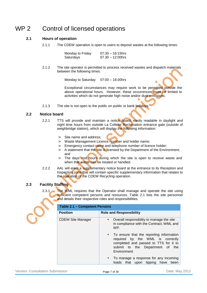# WP 2 Control of licensed operations

# **2.1 Hours of operation**

2.1.1 The CDEW operation is open to users to deposit wastes at the following times:

| Monday to Friday | $07:30 - 16:15$ hrs |
|------------------|---------------------|
| Saturdays        | $07.30 - 12:00$ hrs |

2.1.2 The site operator is permitted to process received wastes and dispatch materials between the following times:

Monday to Saturday 07:00 – 19.00hrs

Exceptional circumstances may require work to be permitted outside the above operational hours. However, these occurrences must be limited to activities which do not generate high noise and/or dust emissions.

2.1.3 The site is not open to the public on public or bank holidays

### **2.2 Notice board**

- 2.2.1 TTS will provide and maintain a notice board, easily readable in daylight and night time hours from outside La Collette Reclamation entrance gate (outside of weighbridge station), which will display the following information:
	- > Site name and address;
	- > Waste Management Licence Number and holder name;
	- > Emergency contact name and telephone number of licence holder;
	- $>$  A statement that the site is licensed by the Department of the Environment; and
	- > The days and hours during which the site is open to receive waste and when that waste can be treated or handled.
- 2.2.2 AAL will erect a supplementary notice board at the entrance to its Reception and Inspection zone that will contain specific supplementary information that relates to the operation of the CDEW Recycling operation.

# **2.3 Facility Staffing**

2.3.1 The WML requires that the Operator shall manage and operate the site using sufficient competent persons and resources. Table 2.1 lists the site personnel and details their respective roles and responsibilities.

| Table 2.1 - Competent Persons |                                                                                                                                                                              |  |
|-------------------------------|------------------------------------------------------------------------------------------------------------------------------------------------------------------------------|--|
| <b>Position</b>               | <b>Role and Responsibility</b>                                                                                                                                               |  |
| <b>CDEW Site Manager</b>      | Overall responsibility to manage the site<br>in compliance with the Contract, WML and<br>WP.                                                                                 |  |
|                               | • To ensure that the reporting information<br>required by the WML is correctly<br>completed and passed to TTS for it to<br>submit to the Department of<br>the<br>Environment |  |
|                               | To manage a response for any incoming<br>$\bullet$<br>that upon tipping have<br>loads<br>been                                                                                |  |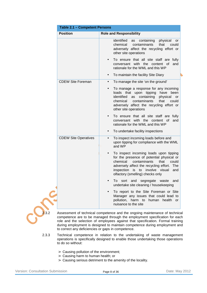| <b>Position</b>             | <b>Role and Responsibility</b>                                                                                                                                                                                                                                     |
|-----------------------------|--------------------------------------------------------------------------------------------------------------------------------------------------------------------------------------------------------------------------------------------------------------------|
|                             |                                                                                                                                                                                                                                                                    |
|                             | identified<br>physical<br>as<br>containing<br>or<br>chemical<br>contaminants<br>that<br>could<br>adversely affect the recycling effort or<br>other site operations                                                                                                 |
|                             | To ensure that all site staff are fully<br>with the content of<br>conversant<br>and<br>rationale for the WML and this WP                                                                                                                                           |
|                             | To maintain the facility Site Diary<br>$\bullet$                                                                                                                                                                                                                   |
| <b>CDEW Site Foreman</b>    | To manage the site 'on the ground'<br>$\bullet$                                                                                                                                                                                                                    |
|                             | To manage a response for any incoming<br>loads that upon tipping have<br>been<br>identified<br>containing<br>as<br>physical<br>or<br>contaminants<br>chemical<br>that<br>could<br>adversely affect the recycling effort or<br>other site operations                |
|                             | To ensure that all site staff are fully<br>with<br>the content of<br>conversant<br>and<br>rationale for the WML and this WP                                                                                                                                        |
|                             | To undertake facility inspections<br>$\bullet$                                                                                                                                                                                                                     |
| <b>CDEW Site Operatives</b> | To inspect incoming loads before and<br>$\bullet$<br>upon tipping for compliance with the WML<br>and WP                                                                                                                                                            |
|                             | To inspect incoming loads upon tipping<br>for the presence of potential physical or<br>chemical<br>contaminants<br>that<br>could<br>adversely affect the recycling effort.<br>The<br>inspection<br>is to involve visual<br>and<br>olfactory (smelling) checks only |
|                             | To<br>sort and segregate waste<br>and<br>undertake site cleaning / housekeeping                                                                                                                                                                                    |
|                             | To report to the Site Foreman or Site<br>Manager any issues that could lead to<br>pollution, harm to<br>human<br>health<br>or<br>nuisance to the site                                                                                                              |

Assessment of technical competence and the ongoing maintenance of technical competence are to be managed through the employment specification for each role and the selection of employees against that specification. Formal training during employment is designed to maintain competence during employment and to correct any deficiencies or gaps in competence.

- 2.3.3 Technical competence in relation to the undertaking of waste management operations is specifically designed to enable those undertaking those operations to do so without:
	- > Causing pollution of the environment;
	- > Causing harm to human health; or
	- > Causing serious detriment to the amenity of the locality.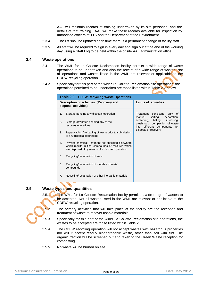AAL will maintain records of training undertaken by its site personnel and the details of that training. AAL will make these records available for inspection by authorised officers of TTS and the Department of the Environment.

- 2.3.4 The list shall be updated each time there is a permanent change of facility staff.
- 2.3.5 All staff will be required to sign in every day and sign out at the end of the working day using a Staff Log to be held within the onsite AAL administration office.

#### **2.4 Waste operations**

- 2.4.1 The WML for La Collette Reclamation facility permits a wide range of waste operations to be undertaken and also the receipt of a wide range of wastes. Not all operations and wastes listed in the WML are relevant or applicable to the CDEW recycling operation.
- 2.4.2 Specifically for this part of the wider La Collette Reclamation site operations, the operations permitted to be undertaken are those listed within Table 2.2 below.

| Table 2.2 – CDEW Recycling Waste Operations |                                                                                                                                                               |                                                                                                         |  |  |
|---------------------------------------------|---------------------------------------------------------------------------------------------------------------------------------------------------------------|---------------------------------------------------------------------------------------------------------|--|--|
|                                             | Description of activities (Recovery and<br>disposal activities)                                                                                               | <b>Limits of activities</b>                                                                             |  |  |
| 1.                                          | Storage pending any disposal operation                                                                                                                        | Treatment consisting only of<br>sorting,<br>separation,<br>manual                                       |  |  |
| 2.                                          | Storage of wastes pending any of the<br>recovery operations                                                                                                   | baling,<br>shredding,<br>screening,<br>crushing or compaction of waste<br>into different components for |  |  |
| 3.                                          | Repackaging / reloading of waste prior to submission<br>to any disposal operations                                                                            | disposal or recovery                                                                                    |  |  |
| 4.                                          | Physico-chemical treatment not specified elsewhere<br>which results in final compounds or mixtures which<br>are disposed of by means of a disposal operation. |                                                                                                         |  |  |
| 5.                                          | Recycling/reclamation of soils                                                                                                                                |                                                                                                         |  |  |
| 6.                                          | Recycling/reclamation of metals and metal<br>compounds                                                                                                        |                                                                                                         |  |  |
| 7.                                          | Recycling/reclamation of other inorganic materials                                                                                                            |                                                                                                         |  |  |

# **2.5 Waste types and quantities**

2.5.1 The WML for La Collette Reclamation facility permits a wide range of wastes to be accepted. Not all wastes listed in the WML are relevant or applicable to the CDEW recycling operation.



- 2.5.3 Specifically for this part of the wider La Collette Reclamation site operations, the wastes to be accepted are those listed within Table 2.3
- 2.5.4 The CDEW recycling operation will not accept wastes with hazardous properties nor will it accept readily biodegradable waste, other than soil with turf. The organic fraction will be screened out and taken to the Green Waste reception for composting.
- 2.5.5 No waste will be burned on site.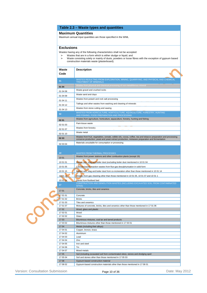|                                                                           | Table 2.3 - Waste types and quantities                                                                                                                                                                            |  |  |  |  |  |  |
|---------------------------------------------------------------------------|-------------------------------------------------------------------------------------------------------------------------------------------------------------------------------------------------------------------|--|--|--|--|--|--|
|                                                                           | <b>Maximum Quantities</b>                                                                                                                                                                                         |  |  |  |  |  |  |
|                                                                           | Maximum annual input quantities are those specified in the WML                                                                                                                                                    |  |  |  |  |  |  |
| <b>Exclusions</b>                                                         |                                                                                                                                                                                                                   |  |  |  |  |  |  |
|                                                                           | Wastes having any of the following characteristics shall not be accepted:                                                                                                                                         |  |  |  |  |  |  |
| Wastes that are in a form which is either sludge or liquid; and<br>$\geq$ |                                                                                                                                                                                                                   |  |  |  |  |  |  |
| $\geq$                                                                    | Waste consisting solely or mainly of dusts, powders or loose fibres with the exception of gypsum based<br>construction materials waste (plasterboard).                                                            |  |  |  |  |  |  |
| Waste                                                                     | <b>Description</b>                                                                                                                                                                                                |  |  |  |  |  |  |
| Code                                                                      |                                                                                                                                                                                                                   |  |  |  |  |  |  |
| 01                                                                        | WASTES RESULTING FROM EXPLORATION, MINING, QUARRYING, AND PHYSICAL AND CHEMICAL                                                                                                                                   |  |  |  |  |  |  |
| 01 04                                                                     | <b>TREATMENT OF MINERALS</b><br>Wastes from physical and chemical processing of non-metalliferous mineral                                                                                                         |  |  |  |  |  |  |
|                                                                           | Waste gravel and crushed rocks                                                                                                                                                                                    |  |  |  |  |  |  |
| 01 04 08                                                                  | Waste sand and clays                                                                                                                                                                                              |  |  |  |  |  |  |
| 01 04 09                                                                  | Wastes from potash and rock salt processing                                                                                                                                                                       |  |  |  |  |  |  |
| 01 04 11<br>01 04 12                                                      | Tailings and other wastes from washing and cleaning of minerals                                                                                                                                                   |  |  |  |  |  |  |
|                                                                           | Wastes from stone cutting and sawing                                                                                                                                                                              |  |  |  |  |  |  |
| 01 04 13<br>02                                                            | WASTES FROM AGRICULTURE, HORTICULTURE, AQUACULTURE, FORESTRY, HUNTING                                                                                                                                             |  |  |  |  |  |  |
|                                                                           | AND FISHING, FOOD PREPARATION AND PROCESSING                                                                                                                                                                      |  |  |  |  |  |  |
| 02 01                                                                     | Wastes from agriculture, horticulture, aquaculture, forestry, hunting and fishing                                                                                                                                 |  |  |  |  |  |  |
| 02 01 03                                                                  | Pant-tissue waste                                                                                                                                                                                                 |  |  |  |  |  |  |
| 02 01 07                                                                  | Wastes from forestry                                                                                                                                                                                              |  |  |  |  |  |  |
| 02 01 10                                                                  | Waste metal                                                                                                                                                                                                       |  |  |  |  |  |  |
| 02 03                                                                     | Wastes from fruit, vegetables, cereals, edible oils, cocoa, coffee, tea and tobacco preparation and processing;<br>conserve production; yeast and yeast extract production, molasses preparation and fermentation |  |  |  |  |  |  |
| 02 03 04                                                                  | Materials unsuitable for consumption or processing                                                                                                                                                                |  |  |  |  |  |  |
|                                                                           |                                                                                                                                                                                                                   |  |  |  |  |  |  |
| 10                                                                        | <b>WASTES FROM THERMAL PROCESSES</b>                                                                                                                                                                              |  |  |  |  |  |  |
| 10 01                                                                     | Wastes from power stations and other combustion plants (except 19)                                                                                                                                                |  |  |  |  |  |  |
| 10 01 01                                                                  | Bottom ash, slag and boiler dust (excluding boiler dust mentioned in 10 01 04                                                                                                                                     |  |  |  |  |  |  |
| 10 01 05                                                                  | Calcium-based reaction wastes from flue-gas desulphurisation in solid form                                                                                                                                        |  |  |  |  |  |  |
| 10 01 15                                                                  | Bottom ash, slag and boiler dust from co-incineration other than those mentioned in 10 01 14                                                                                                                      |  |  |  |  |  |  |
| 10 01 19                                                                  | Wastes from gas cleaning other than those mentioned in 10 01 05, 10 01 07 and 10 01 1                                                                                                                             |  |  |  |  |  |  |
| 10 01 24                                                                  | Sands from fluidised bed                                                                                                                                                                                          |  |  |  |  |  |  |
| 17 <sub>2</sub>                                                           | CONSTRUCTION AND DEMOLITION WASTES (INCLUDING EXCAVATED SOIL FROM CONTAMINATED<br>SITES)                                                                                                                          |  |  |  |  |  |  |
| 1701                                                                      | Concrete, bricks, tiles and ceramics                                                                                                                                                                              |  |  |  |  |  |  |
| 17 01 01                                                                  | Concrete                                                                                                                                                                                                          |  |  |  |  |  |  |
| 17 01 02                                                                  | <b>Bricks</b>                                                                                                                                                                                                     |  |  |  |  |  |  |
| 17 01 03                                                                  | Tiles and ceramics                                                                                                                                                                                                |  |  |  |  |  |  |
| 17 01 07                                                                  | Mixtures of concrete, bricks, tiles and ceramics other than those mentioned in 17 01 06                                                                                                                           |  |  |  |  |  |  |
| 1702<br>17 02 01                                                          | Wood, glass and plastic<br>Wood                                                                                                                                                                                   |  |  |  |  |  |  |
| 17 02 02                                                                  | Glass                                                                                                                                                                                                             |  |  |  |  |  |  |
| 1703                                                                      | Bituminous mixtures, coal tar and tarred products                                                                                                                                                                 |  |  |  |  |  |  |
| 17 03 02<br>1704                                                          | Bituminous mixtures other than those mentioned in 17 03 01<br>Metals (including their alloys)                                                                                                                     |  |  |  |  |  |  |
| 17 04 01                                                                  | Copper, bronze, brass                                                                                                                                                                                             |  |  |  |  |  |  |
| 17 04 02                                                                  | Aluminium                                                                                                                                                                                                         |  |  |  |  |  |  |
| 17 04 03                                                                  | Lead                                                                                                                                                                                                              |  |  |  |  |  |  |
| 17 04 04<br>17 04 05                                                      | Zinc<br>Iron and steel                                                                                                                                                                                            |  |  |  |  |  |  |
| 17 04 06                                                                  | Tin                                                                                                                                                                                                               |  |  |  |  |  |  |
| 17 04 07                                                                  | Mixed metals                                                                                                                                                                                                      |  |  |  |  |  |  |
| 1705<br>17 05 04                                                          | Soil (including excavated soil from contaminated sites), stones and dredging spoil<br>Soil and stones other than those mentioned in 17 05 03                                                                      |  |  |  |  |  |  |
| 1708                                                                      | Gypsum-based construction material                                                                                                                                                                                |  |  |  |  |  |  |
| 17 08 02                                                                  | Gypsum-based construction materials other than those mentioned in 17 08 01                                                                                                                                        |  |  |  |  |  |  |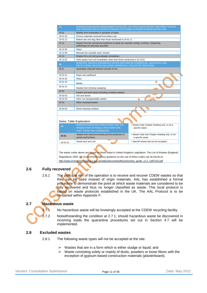| 19       | WASTES FROM WASTE MANAGEMENT FACILITIES, OFF-SITE WASTE WATER TREATMENT PLANTS<br>AND PREPARATION OF WATER INTENDED FOR HUMAN CONSUMPTION/INDUSTRIAL USE |                                                                    |  |  |  |  |  |
|----------|----------------------------------------------------------------------------------------------------------------------------------------------------------|--------------------------------------------------------------------|--|--|--|--|--|
| 19 01    | Wastes from incineration or pyrolysis of waste                                                                                                           |                                                                    |  |  |  |  |  |
| 19 01 02 | Ferrous materials removed from bottom ash                                                                                                                |                                                                    |  |  |  |  |  |
| 19 01 12 | Bottom ash and slag other than those mentioned in 19 01 11                                                                                               |                                                                    |  |  |  |  |  |
| 19 12    | Wastes from the mechanical treatment of waste (for example sorting, crushing, compacting,<br>pelletising) not otherwise specified                        |                                                                    |  |  |  |  |  |
| 19 12 05 | Glass                                                                                                                                                    |                                                                    |  |  |  |  |  |
| 19 12 09 | Minerals (for example sand, stones)                                                                                                                      |                                                                    |  |  |  |  |  |
| 19 13    | Wastes from soil and groundwater remediation                                                                                                             |                                                                    |  |  |  |  |  |
| 19 13 02 | Solid wastes from soil remediation other than those mentioned in 19 13 01                                                                                |                                                                    |  |  |  |  |  |
| 20       | MUNICIPAL WASTES (HOUSEHOLD WASTE AND SIMILAR COMMERCIAL, INDUSTRIAL AND<br>INSTITUTIONAL WASTES) INCLUDING SEPARATELY COLLECTED FRACTIONS               |                                                                    |  |  |  |  |  |
| 20 01    | Separately collected fractions (except 15 01)                                                                                                            |                                                                    |  |  |  |  |  |
| 20 01 01 | Paper and cardboard                                                                                                                                      |                                                                    |  |  |  |  |  |
| 20 01 02 | Glass                                                                                                                                                    |                                                                    |  |  |  |  |  |
| 20 01 40 | Metals                                                                                                                                                   |                                                                    |  |  |  |  |  |
| 20 01 41 | Wastes from chimney sweeping                                                                                                                             |                                                                    |  |  |  |  |  |
| 20 02    | Garden and park waste (including cemetery wastes)                                                                                                        |                                                                    |  |  |  |  |  |
| 20 02 02 | Soil and stones                                                                                                                                          |                                                                    |  |  |  |  |  |
| 20 02 03 | Other non-biodegradable wastes                                                                                                                           |                                                                    |  |  |  |  |  |
| 20 03    | Other municipal wastes                                                                                                                                   |                                                                    |  |  |  |  |  |
| 20 03 03 | Street-cleaning residues                                                                                                                                 |                                                                    |  |  |  |  |  |
|          |                                                                                                                                                          |                                                                    |  |  |  |  |  |
|          | Notes: Table Explanation                                                                                                                                 |                                                                    |  |  |  |  |  |
|          | WASTES FROM WOOD PROCESSING AND THE                                                                                                                      | = Waste Code Chapter Heading only. Is not a                        |  |  |  |  |  |
| 03       | PRODUCTION OF PANELS AND FURNITURE,                                                                                                                      | specific waste.                                                    |  |  |  |  |  |
|          | PULP, PAPER AND CARDBOARD                                                                                                                                |                                                                    |  |  |  |  |  |
| 03 01    | Wastes from wood processing and the production of<br>panels and furniture                                                                                | = Waste Code Sub Chapter Heading only. Is not<br>a specific waste. |  |  |  |  |  |
| 03 01 01 | Waste bark and cork                                                                                                                                      | = Specific Waste that can be accepted                              |  |  |  |  |  |
|          |                                                                                                                                                          |                                                                    |  |  |  |  |  |

The waste codes above are based on those listed in United Kingdom Legislation: The List of Wastes (England) Regulations 2005. UK Environment Agency guidance on the use of these codes can be found on http://www.environment-agency.gov.uk/static/documents/Business/low\_guide\_v1.2\_1397222.pdf

# **2.6 Fully recovered**

2.6.1 The principle aim of the operation is to receive and recover CDEW wastes so that they can be used instead of virgin materials. AAL has established a formal procedure to demonstrate the point at which waste materials are considered to be fully recovered and thus no longer classified as waste. This local protocol is based on waste protocols established in the UK. The AAL Protocol is to be contained within Appendix F.

# **2.7 Hazardous waste**

2.7.1 No hazardous waste will be knowingly accepted at the CDEW recycling facility.

2.7.2 Notwithstanding the condition at 2.7.1, should hazardous waste be discovered in incoming loads the quarantine procedures set out in Section 4.7 will be implemented.

# **2.8 Excluded wastes**

- 2.8.1 The following waste types will not be accepted at the site:
	- > Wastes that are in a form which is either sludge or liquid; and
	- > Waste consisting solely or mainly of dusts, powders or loose fibres with the exception of gypsum-based construction materials (plasterboard).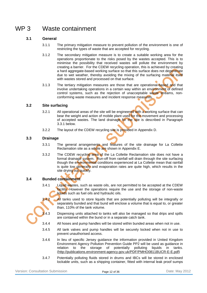# WP 3 Waste containment

# **3.1 General**

- 3.1.1 The primary mitigation measure to prevent pollution of the environment is one of restricting the types of waste that are accepted for recycling.
- 3.1.2 The secondary mitigation measure is to create a suitable working area for the operations proportionate to the risks posed by the wastes accepted. This is to minimise the possibility that received wastes will pollute the environment by creating a barrier. For the CDEW recycling operation, this is achieved by creating a hard aggregate-based working surface so that this surface does not degenerate due to wet weather, thereby avoiding the mixing of the surfacing material itself with wastes stored and processed on that surface.
- 3.1.3 The tertiary mitigation measures are those that are operational-based and that involve undertaking operations in a certain way within an environment of defined control systems, such as the rejection of unacceptable waste streams, nonconforming waste measures and incident response measures.

# **3.2 Site surfacing**

- 3.2.1 All operational areas of the site will be engineered with a working surface that can bear the weight and action of mobile plant used for the movement and processing of accepted wastes. The land drainage for the site is described in Paragraph 3.3.1 below.
- 3.2.2 The layout of the CDEW recycling site is provided in Appendix D.

# **3.3 Drainage**

- 3.3.1 The general arrangements and features of the site drainage for La Collette Reclamation site as a whole are shown in Appendix E.
- 3.3.2 The CDEW recycling area of the La Collette Reclamation site does not have a formal drainage system. Run-off from rainfall will drain through the site surfacing though the environmental conditions experienced at La Collette mean that rainfall is quite low generally and evaporation rates are quite high, which results in the site drying out quickly.

# **3.4 Bunded containment**

- 3.4.1 Liquid wastes, such as waste oils, are not permitted to be accepted at the CDEW facility. However the operations require the use and the storage of non-waste liquids such as fuel oils and hydraulic oils.
- $3.4.2$  All tanks used to store liquids that are potentially polluting will be integrally or separately bunded and that bund will enclose a volume that is equal to, or greater than, 110% of the tank volume.
- $\overline{1}$ .4.3 Dispensing units attached to tanks will also be managed so that drips and spills are contained within the bund or in a separate catch tank.
- 3.4.4 All hoses and pump handles will be stored within bunded areas when not in use.
- 3.4.5 All tank valves and pump handles will be securely locked when not in use to prevent unauthorised access.
- 3.4.6 In lieu of specific Jersey guidance the information provided in United Kingdom Environment Agency Pollution Prevention Guide PP2 will be used as guidance in relation to the storage of potentially polluting liquids in tanks. (http://publications.environment-agency.gov.uk/PDF/PMHO0811BUCR-E-E.pdf)
- 3.4.7 Potentially polluting fluids stored in drums and IBCs will be stored in enclosed lockable units, such as a shipping container, fitted with internal leak proof sumps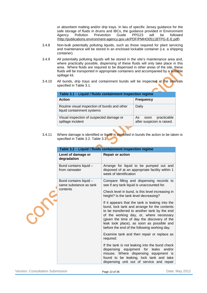or absorbent matting and/or drip trays. In lieu of specific Jersey guidance for the safe storage of fluids in drums and IBCs, the guidance provided in Environment Agency Pollution Prevention Guide PPG23 will be followed (http://publications.environment-agency.gov.uk/PDF/PMHO0511BTPG-E-E.pdf).

- 3.4.8 Non-bulk potentially polluting liquids, such as those required for plant servicing and maintenance will be stored in an enclosed lockable container (i.e. a shipping container).
- 3.4.9 All potentially polluting liquids will be stored in the site's maintenance area and, where practically possible, dispensing of these fluids will only take place in this area. Where fluids are required to be dispensed in other areas of the site, these fluids will be transported in appropriate containers and accompanied by a suitable spillage kit.
- 3.4.10 All bunds, drip trays and containment bunds will be inspected at the intervals specified in Table 3.1.

| Table 3.1 - Liquid / fluids containment inspection regime                  |                                                          |  |  |  |  |  |
|----------------------------------------------------------------------------|----------------------------------------------------------|--|--|--|--|--|
| <b>Action</b>                                                              | <b>Frequency</b>                                         |  |  |  |  |  |
| Routine visual inspection of bunds and other<br>liquid containment systems | Daily                                                    |  |  |  |  |  |
| Visual inspection of suspected damage or<br>spillage incident              | practicable<br>As.<br>soon<br>after suspicion is raised. |  |  |  |  |  |

3.4.11 Where damage is identified or liquid is identified in bunds the action to be taken is specified in Table 3.2. Table 3.3

| Table 3.2 - Liquid / fluids containment inspection regime    |                                                                                                                                                                                                                                                                                                                                        |  |  |  |  |  |  |  |  |
|--------------------------------------------------------------|----------------------------------------------------------------------------------------------------------------------------------------------------------------------------------------------------------------------------------------------------------------------------------------------------------------------------------------|--|--|--|--|--|--|--|--|
| Level of damage or<br>degradation                            | <b>Repair or action</b>                                                                                                                                                                                                                                                                                                                |  |  |  |  |  |  |  |  |
| Bund contains liquid -<br>from rainwater                     | Arrange for liquid to be pumped out and<br>disposed of at an appropriate facility within 1<br>week of identification                                                                                                                                                                                                                   |  |  |  |  |  |  |  |  |
| Bund contains liquid -<br>same substance as tank<br>contents | Compare filling and dispensing records to<br>see if any tank liquid is unaccounted for.                                                                                                                                                                                                                                                |  |  |  |  |  |  |  |  |
|                                                              | Check level in bund, is this level increasing in<br>height? Is the tank level decreasing?                                                                                                                                                                                                                                              |  |  |  |  |  |  |  |  |
|                                                              | If it appears that the tank is leaking into the<br>bund, lock tank and arrange for the contents<br>to be transferred to another tank by the end<br>of the working day, or, where necessary<br>(given the time of day the discovery of the<br>leak took place), as soon as possible and<br>before the end of the following working day. |  |  |  |  |  |  |  |  |
|                                                              | Examine tank and then repair or replace as<br>required.                                                                                                                                                                                                                                                                                |  |  |  |  |  |  |  |  |
|                                                              | If the tank is not leaking into the bund check<br>dispensing equipment for leaks<br>and/or<br>misuse. Where dispensing equipment is<br>found to be leaking, lock tank and take<br>dispensing unit out of service and repair                                                                                                            |  |  |  |  |  |  |  |  |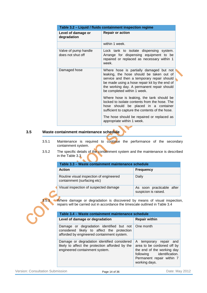| Table 3.2 - Liquid / fluids containment inspection regime |                                                                                                                                                                                                                                                                 |  |  |  |  |  |
|-----------------------------------------------------------|-----------------------------------------------------------------------------------------------------------------------------------------------------------------------------------------------------------------------------------------------------------------|--|--|--|--|--|
| Level of damage or<br>degradation                         | <b>Repair or action</b>                                                                                                                                                                                                                                         |  |  |  |  |  |
|                                                           | within 1 week.                                                                                                                                                                                                                                                  |  |  |  |  |  |
| Valve of pump handle<br>does not shut off                 | Lock tank to isolate dispensing system.<br>Arrange for dispensing equipment to be<br>repaired or replaced as necessary within 1<br>week.                                                                                                                        |  |  |  |  |  |
| Damaged hose                                              | Where hose is partially damaged but not<br>leaking, the hose should be taken out of<br>service and then a temporary repair should<br>be made using a hose repair kit by the end of<br>the working day. A permanent repair should<br>be completed within 1 week. |  |  |  |  |  |
|                                                           | Where hose is leaking, the tank should be<br>locked to isolate contents from the hose. The<br>hose should be placed in a container<br>sufficient to capture the contents of the hose.                                                                           |  |  |  |  |  |
|                                                           | The hose should be repaired or replaced as<br>appropriate within 1 week.                                                                                                                                                                                        |  |  |  |  |  |

### **3.5 Waste containment maintenance schedule**

- 3.5.1 Maintenance is required to continue the performance of the secondary containment system.
- 3.5.2 The specific details of the containment system and the maintenance is described in the Table 3.3

| Table 3.3 - Waste containment maintenance schedule                     |                                                   |  |  |  |  |  |  |
|------------------------------------------------------------------------|---------------------------------------------------|--|--|--|--|--|--|
| <b>Action</b>                                                          | <b>Frequency</b>                                  |  |  |  |  |  |  |
| Routine visual inspection of engineered<br>containment (surfacing etc) | Daily                                             |  |  |  |  |  |  |
| Visual inspection of suspected damage                                  | As soon practicable after<br>suspicion is raised. |  |  |  |  |  |  |

3.5.3 Where damage or degradation is discovered by means of visual inspection, repairs will be carried out in accordance the timescale outlined in Table 3.4

| Table 3.4 - Waste containment maintenance schedule                                                                                               |                                                                                                                                                               |
|--------------------------------------------------------------------------------------------------------------------------------------------------|---------------------------------------------------------------------------------------------------------------------------------------------------------------|
| Level of damage or degradation                                                                                                                   | <b>Repair within</b>                                                                                                                                          |
| Damage or degradation identified but not   One month<br>considered likely to affect the protection<br>afforded by engineered containment system. |                                                                                                                                                               |
| Damage or degradation identified considered<br>likely to affect the protection afforded by the<br>engineered containment system.                 | A temporary repair and<br>area to be cordoned off by<br>the end of the working day<br>following identification.<br>Permanent repair within 7<br>working days. |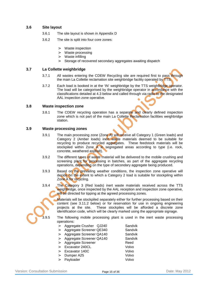# **3.6 Site layout**

- 3.6.1 The site layout is shown in Appendix D
- 3.6.2 The site is split into four core zones:
	- > Waste inspection
	- > Waste processing
	- > Waste infilling
	- Storage of recovered secondary aggregates awaiting dispatch

#### **3.7 La Collette weighbridge**

- 3.7.1 All wastes entering the CDEW Recycling site are required first to pass through the main La Collette reclamation site weighbridge facility operated by TTS.
- 3.7.2 Each load is booked in at the 'IN' weighbridge by the TTS weighbridge operator. The load will be categorised by the weighbridge operator in accordance with the classifications detailed at 4.3 below and called through via radio to the designated AAL inspection zone operative.

#### **3.8 Waste inspection zone**

3.8.1 The CDEW recycling operation has a separate and clearly defined inspection zone which is not part of the main La Collette Reclamation facilities weighbridge station.

#### **3.9 Waste processing zones**

- 3.9.1 The main processing zone (Zone A) will receive all Category 1 (Green loads) and Category 2 (Amber loads) inert waste materials deemed to be suitable for recycling to produce recycled aggregates. These feedstock materials will be stockpiled within Zone  $\overline{A}$  in segregated areas according to type (i.e. rock, concrete, weathered asphalt).
- 3.9.2 The different types of waste material will be delivered to the mobile crushing and screening plant for processing in batches, as part of the aggregate recycling operations, depending on the type of secondary aggregate being produced.
- 3.9.3 Based on the prevailing weather conditions, the inspection zone operative will decide on the extent to which a Category 2 load is suitable for stockpiling within Zone A for recycling.
- 3.9.4 The Category 3 (Red loads) inert waste materials received across the TTS weighbridge, once inspected by the AAL reception and inspection zone operative, will be directed for tipping at the agreed processing zones.

Materials will be stockpiled separately either for further processing based on their content (see 3.11.2 below) or for reservation for use in ongoing engineering projects at the site. These stockpiles will be afforded a discrete zone identification code, which will be clearly marked using the appropriate signage.

3.9.5 The following mobile processing plant is used in the inert waste processing operations:

> > Aggregate Crusher QJ240 Sandvik > Aggregate Screener QE340 Sandvik > Aggregate Screener QA140 Sandvik > Aggregate Screener QA140 Sandvik > Aggregate Screener Reed > Excavator 240CL Volvo > Excavator 140C Volvo

> Dumper A25 Volvo Payloader Volvo

Version: Consultation Submission **Page 15 of 36** Page 15 of 36 Date: May 2012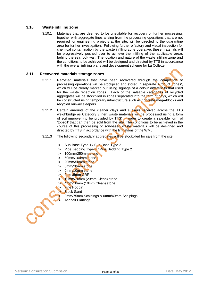# **3.10 Waste infilling zone**

3.10.1 Materials that are deemed to be unsuitable for recovery or further processing, together with aggregate fines arising from the processing operations that are not required for engineering projects at the site, will be directed to the quarantine area for further investigation. Following further olfactory and visual inspection for chemical contamination by the waste infilling zone operative, these materials will be progressively pushed over to achieve the infilling of the applicable areas behind the sea rock wall. The location and nature of the waste infilling zone and the conditions to be achieved will be designed and directed by TTS in accordance with the overall infilling plans and development scheme for La Collette.

### **3.11 Recovered materials storage zones**

- 3.11.1 Recycled materials that have been recovered through the completion of processing operations will be stockpiled and stored in separate 'Product Zones', which will be clearly marked out using signage of a colour different to that used for the waste reception zones. Each of the saleable categories of recycled aggregates will be stockpiled in zones separated into the form of bays, which will be constructed using temporary infrastructure such as concrete mega-blocks and recycled railway sleepers
- 3.11.2 Certain amounts of the cleaner clays and subsoils received across the TTS weighbridge as Category 3 inert waste materials will be processed using a form of soil improver (to be provided by TTS) in order to create a saleable form of 'topsoil' that can then be sold from the site. The conditions to be achieved in the course of this processing of soil-based waste materials will be designed and directed by TTS in accordance with the limitations of the WML.
- 3.11.3 The following secondary aggregates will be stockpiled for sale from the site:
	- > Sub-Base Type 1 / Sub-Base Type 2
	- > Pipe Bedding Type 1 / Pipe Bedding Type 2
	- > 100mm/250mm stone
	- > 50mm/100mm stone
	- > 20mm/50mm stone
	- > 0mm/20mm stone
	- > 0mm/10mm stone
	- $>$  0mm/5mm CRF
	- > 10mm/20mm (20mm Clean) stone
	- 4mm/10mm (10mm Clean) stone
	- **Fine Hoggin** 
		- **Black Sand**

> 0mm/75mm Scalpings & 0mm/40mm Scalpings Asphalt Planings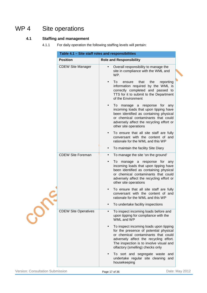# WP 4 Site operations

# **4.1 Staffing and management**

4.1.1 For daily operation the following staffing levels will pertain:

| <b>Position</b>             |           | <b>Role and Responsibility</b>                                                                                                                                                                                                                   |
|-----------------------------|-----------|--------------------------------------------------------------------------------------------------------------------------------------------------------------------------------------------------------------------------------------------------|
| <b>CDEW Site Manager</b>    | $\bullet$ | Overall responsibility to manage the<br>site in compliance with the WML and<br>WP.                                                                                                                                                               |
|                             |           | To<br>that<br>reporting<br>ensure<br>the<br>information required by the WML is<br>correctly completed and passed to<br>TTS for it to submit to the Department<br>of the Environment                                                              |
|                             |           | To manage a response for any<br>incoming loads that upon tipping have<br>been identified as containing physical<br>or chemical contaminants that could<br>adversely affect the recycling effort or<br>other site operations                      |
|                             | $\bullet$ | To ensure that all site staff are fully<br>conversant with the content of and<br>rationale for the WML and this WP                                                                                                                               |
|                             | $\bullet$ | To maintain the facility Site Diary                                                                                                                                                                                                              |
| <b>CDEW Site Foreman</b>    | $\bullet$ | To manage the site 'on the ground'                                                                                                                                                                                                               |
|                             | $\bullet$ | To manage a response for any<br>incoming loads that upon tipping have<br>been identified as containing physical<br>or chemical contaminants that could<br>adversely affect the recycling effort or<br>other site operations                      |
|                             |           | To ensure that all site staff are fully<br>conversant with the content of and<br>rationale for the WML and this WP                                                                                                                               |
|                             |           | To undertake facility inspections                                                                                                                                                                                                                |
| <b>CDEW Site Operatives</b> |           | To inspect incoming loads before and<br>upon tipping for compliance with the<br>WML and WP                                                                                                                                                       |
|                             |           | To inspect incoming loads upon tipping<br>for the presence of potential physical<br>or chemical contaminants that could<br>adversely affect the recycling effort.<br>The inspection is to involve visual and<br>olfactory (smelling) checks only |
|                             |           | To sort and segregate waste and<br>undertake regular site cleaning and<br>housekeeping                                                                                                                                                           |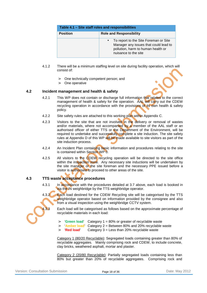| Table 4.1 - Site staff roles and responsibilities |                                                                                                                                              |  |  |  |  |  |
|---------------------------------------------------|----------------------------------------------------------------------------------------------------------------------------------------------|--|--|--|--|--|
| <b>Position</b><br><b>Role and Responsibility</b> |                                                                                                                                              |  |  |  |  |  |
|                                                   | To report to the Site Foreman or Site<br>Manager any issues that could lead to<br>pollution, harm to human health or<br>nuisance to the site |  |  |  |  |  |

- 4.1.2 There will be a minimum staffing level on site during facility operation, which will consist of:
	- > One technically competent person; and
	- > One operative

### **4.2 Incident management and health & safety**

- 4.2.1 This WP does not contain or discharge full information that relates to the correct management of health & safety for the operation. AAL will carry out the CDEW recycling operation in accordance with the provisions of its own health & safety policy.
- 4.2.2 Site safety rules are attached to this working plan within Appendix C.
- 4.2.3 Visitors to the site that are not involved in the delivery or removal of wastes and/or materials, where not accompanied by a member of the AAL staff or an authorised officer of either TTS or the Department of the Environment, will be required to undertake and successfully complete a site induction. The site safety rules at Appendix D of this WP will be made available to site visitors as part of the site induction process.
- 4.2.4 An Incident Plan containing basic information and procedures relating to the site is contained within Section WP 0.
- 4.2.5 All visitors to the CDEW recycling operation will be directed to the site office within the inspection zone. Any necessary site inductions will be undertaken by the site manager or the site foreman and the necessary PPE issued before a visitor is authorised to proceed to other areas of the site.

# **4.3 TTS waste acceptance procedures**

4.3.1 In accordance with the procedures detailed at 3.7 above, each load is booked in via the IN weighbridge by the TTS weighbridge operator.

4.3.2 Each load destined for the CDEW Recycling site will be categorised by the TTS weighbridge operator based on information provided by the consignee and also from a visual inspection using the weighbridge CCTV system.

> Each load will be categorised as follows based on the approximate percentage of recyclable materials in each load:

- > '**Green load**' Category 1 = 80% or greater of recyclable waste
- > 'Amber load' Category 2 = Between 80% and 20% recyclable waste<br>> 'Red load' Category 3 = Less than 20% recyclable waste
- > '**Red load**' Category 3 = Less than 20% recyclable waste

Category 1 (80/20 Recyclable): Segregated loads containing greater than 80% of recyclable aggregates. Mainly comprising rock and CDEW, to include concrete, clay bricks, weathered asphalt, mortar and plaster.

Category 2 (20/80 Recyclable): Partially segregated loads containing less than 80% but greater than 20% of recyclable aggregates. Comprising rock and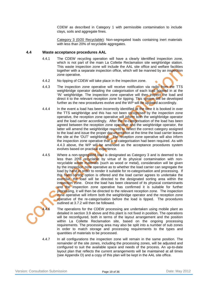CDEW as described in Category 1 with permissible contamination to include clays, soils and aggregate fines.

Category 3 (0/20 Recyclable): Non-segregated loads containing inert materials with less than 20% of recyclable aggregates.

#### **4.4 Waste acceptance procedures AAL**

- 4.4.1 The CDEW recycling operation will have a clearly identified inspection zone, which is not part of the main La Collette Reclamation site weighbridge station. This waste inspection zone will include the AAL site office and welfare facilities together with a separate inspection office, which will be manned by an inspection zone operative.
- 4.4.2 No tipping of CDEW will take place in the inspection zone.
- 4.4.3 The inspection zone operative will receive notification via radio from the TTS weighbridge operator detailing the categorisation of each load booked in at the 'IN' weighbridge. The inspection zone operative will then inspect the load and direct it to the relevant reception zone for tipping. This system will be developed further as the new procedures evolve and the WP will be updated accordingly.
- 4.4.4 In the event a load has been incorrectly identified at the time it is booked in over the TTS weighbridge and this has not been recognised by the inspection zone operative, the reception zone operative will inform both the weighbridge operator and the load carrier accordingly. After the re-categorisation of the load has been agreed between the reception zone operative and the weighbridge operator, the latter will amend the weighbridge records to reflect the correct category assigned to the load and issue the proper documentation at the time the load carrier leaves the site at the 'OUT' weighbridge. The reception zone operative will also inform the inspection zone operative that a re-categorisation had been required. As with 4.4.3 above, the WP will be amended as the acceptance procedures system evolves based on practical experience.
- 4.4.5 Where a non-segregated load is designated as Category 3 and is deemed to be less than 20% recyclable by virtue of its physical contamination with nonrecyclable waste materials (such as wood or metal), consideration will be given by the inspection zone operative as to whether the load carrier can segregate the load by hand in order to render it suitable for re-categorisation and processing. If this hand-sorting option is offered and the load carrier agrees to undertake the exercise, the load will be directed to the designated sorting area within the inspection zone. Once the load has been cleansed of its physical contaminants and the inspection zone operative has confirmed it is suitable for further processing, it will then be directed to the relevant reception zone. The inspection zone operative will inform both the weighbridge operator and the reception zone operative of the re-categorisation before the load is tipped. The procedures outlined at 3.7.2 will then be followed.

The operations for the CDEW processing are undertaken using mobile plant as detailed in section 3.9 above and this plant is not fixed in position. The operations will be reconfigured, both in terms of the layout arrangement and the position within La Collette Reclamation site, based on the ongoing processing requirements. The processing area may also be split into a number of sub zones in order to match storage and processing requirements to the types and quantities of materials to be processed.

4.4.7 In all configurations the inspection zone will remain in the same position. The remainder of the site zones, including the processing zones, will be adjusted and configured to suit the available space and needs of the process. An up-to-date layout plan that reflects the current arrangements will be maintained at all times (see Appendix D) and a copy of this plan will be kept in the AAL site office.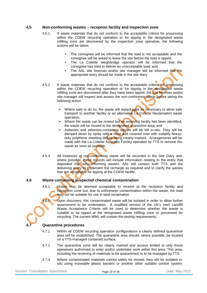### **4.5 Non-conforming wastes – reception facility and inspection zone**

- 4.5.1 If waste materials that do not conform to the acceptable criteria for processing within the CDEW recycling operation or for tipping in the designated waste infilling zone are discovered by the inspection zone operative, the following actions will be taken:
	- The consignee will be informed that the load is not acceptable and the consignee will be asked to leave the site before the load is tipped;
	- The La Collette weighbridge operator will be informed that the consignee has tried to deliver an unacceptable load; and
	- The AAL site foreman and/or site manager will be informed that the appropriate entry should be made in the site diary.
- 4.5.2 If waste materials that do not conform to the acceptable criteria for processing within the CDEW recycling operation or for tipping in the designated waste infilling zone are discovered after they have been tipped, the site foreman and/or site manager will inspect and assess the non-conforming waste before taking the following action:
	- > Where safe to do so, the waste will repackaged as necessary to allow safe transport to another facility or an alternative La Collette Reclamation waste operation;
	- > Where the waste can be moved but no receiving facility has been identified, the waste will be moved to the designated quarantine area; and
	- > Asbestos and asbestos-containing wastes will be left in-situ. They will be damped down by spray with a hose and covered over with suitably heavyduty polythene sheeting before being clearly marked. Arrangements will be made with the La Collette Asbestos Facility operated by TTS to remove the waste as soon as possible.
- 4.5.3 All instances of non-conforming waste will be recorded in the Site Diary and, where possible, these records will include information relating to the entity that deposited the non-conforming wastes. AAL will contact both TTS and the delivering entity to implement the recharge as required and to clarify the wastes that are acceptable for tipping at the CDEW facility.

# **4.6 Waste containing suspected chemical contamination**

4.6.1 Waste may be deemed acceptable to receive at the reception facility and inspection zone but, due to unforeseen contamination within the waste, the load may not be suitable for use in land reclamation.

4.6.2 Upon discovery, this contaminated waste will be isolated in order to allow further assessment to be undertaken. A modified version of the UK's Inert Landfill Waste Acceptance Criteria will be used to determine whether the waste is suitable to be tipped at the designated waste infilling zone or processed for recycling. The current WML will contain the testing requirements.

#### **Quarantine procedures**

- 4.7.1 Within all CDEW recycling operation configurations a clearly defined quarantine area will be established. The quarantine area should, where possible, be located on a TTS-managed contained surface.
- 4.7.2 The quarantine zone will be clearly marked and access limited to only those operatives authorised to enter and/or undertake work within this area. This area, including the receiving of materials to be quarantined, is to be managed by TTS.
- 4.7.3 Where contaminated materials cannot safely be moved, they will be isolated insitu using moveable plastic barriers or another other suitable cordon system.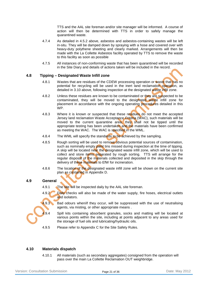TTS and the AAL site foreman and/or site manager will be informed. A course of action will then be determined with TTS in order to safely manage the quarantined waste.

- 4.7.4 As detailed in 4.5.2 above, asbestos and asbestos-containing wastes will be left in-situ. They will be damped down by spraying with a hose and covered over with heavy-duty polythene sheeting and clearly marked. Arrangements will then be made with the La Collette Asbestos facility operated by TTS to remove the waste to this facility as soon as possible
- 4.7.5 All instances of non-conforming waste that has been quarantined will be recorded in the Site Diary and details of actions taken will be included in the record.

### **4.8 Tipping – Designated Waste Infill zone**

- 4.8.1 Wastes that are residues of the CDEW processing operation or waste that has no potential for recycling will be used in the inert land reclamation operation, as detailed in 3.10 above, following inspection at the designated waste infill zone.
- 4.8.2 Unless these residues are known to be contaminated or they are suspected to be contaminated, they will be moved to the designated waste infill zone for placement in accordance with the ongoing operating procedures detailed in this WP.
- 4.8.3 Where it is known or suspected that these residues do not meet the accepted Jersey land reclamation Waste Acceptance Criteria (WAC), such materials will be moved to the current quarantine area, they shall not be tipped until the appropriate testing has been undertaken and the materials have been confirmed as meeting the WAC. The WAC is specified in the WML.
- 4.8.4 The WML will specify the standards to be achieved by the sampling.
- 4.8.5 Rough sorting will be used to remove obvious potential sources of contamination, such as nominally empty paint tins missed during inspection at the time of tipping. A skip will be located near the designated waste infill zone, which will be used to collect and store items separated by rough sorting. TTS will arrange for the regular disposal of the materials collected and deposited in the skip through the delivery of these materials to EfW for incineration.
- 4.8.6 The location of the designated waste infill zone will be shown on the current site plan as contained in Appendix D.

# **4.9 General**

- 4.9.1 The site will be inspected daily by the AAL site foreman.
- 4.9.2 Daily checks will also be made of the water supply, fire hoses, electrical outlets and isolators.
- 4.9.3 Bad odours when/if they occur, will be suppressed with the use of neutralising agents, via misting, or other appropriate means .
- $\frac{1}{2}9.4$  Spill kits containing absorbent granules, socks and matting will be located at various points within the site, including at points adjacent to any areas used for the storage of fuel oils and lubricating/hydraulic oils.
- 4.9.5 Please refer to Appendix C for the Site Safety Rules.

# **4.10 Materials dispatch**

4.10.1 All materials (such as secondary aggregates) consigned from the operation will pass over the main La Collette Reclamation OUT weighbridge.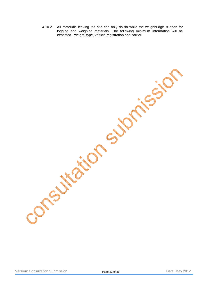4.10.2 All materials leaving the site can only do so while the weighbridge is open for logging and weighing materials. The following minimum information will be expected - weight, type, vehicle registration and carrier

Version: Consultation Submission **Page 22 of 36** Page 22 of 36 Date: May 2012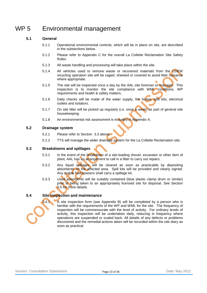# WP 5 Environmental management

# **5.1 General**

- 5.1.1 Operational environmental controls, which will be in place on site, are described in the subsections below.
- 5.1.2 Please refer to Appendix C for the overall La Collette Reclamation Site Safety Rules.
- 5.1.3 All waste handling and processing will take place within the site.
- 5.1.4 All vehicles used to remove waste or recovered materials from the CDEW recycling operation site will be caged, sheeted or covered to avoid litter nuisance where appropriate.
- 5.1.5 The site will be inspected once a day by the AAL site foreman or manager. This inspection is to monitor the site compliance with WML conditions, WP requirements and health & safety matters.
- 5.1.6 Daily checks will be made of the water supply, fire hoses, spill kits, electrical outlets and isolators.
- 5.1.7 On site litter will be picked up regularly (i.e. once a week) as part of general site housekeeping.
- 5.1.8 An environmental risk assessment is included in Appendix A.

# **5.2 Drainage system**

- 5.2.1 Please refer to Section 3.3 above.
- 5.2.2 TTS will manage the wider drainage system for the La Collette Reclamation site.

# **5.3 Breakdowns and spillages**

- 5.3.1 In the event of the breakdown of a site-loading shovel, excavator or other item of plant, AAL has an arrangement to call in a fitter to carry out repairs.
- 5.3.2 Any liquid spillages will be cleared as soon as practicable by depositing absorbents on the affected area. Spill kits will be provided and clearly signed. Any mobile fuel bowsers shall carry a spillage kit.
- 5.3.3 Used absorbents will be suitably contained (blue plastic clamp drum or similar) prior to being taken to an appropriately licensed site for disposal. See Section 0.5 for more details.

# **5.4 Site inspection and maintenance**

5.4.1 A site inspection form (see Appendix B) will be completed by a person who is familiar with the requirements of the WP and WML for the site. The frequency of inspection will be commensurate with the level of activity. For ordinary levels of activity, this inspection will be undertaken daily, reducing in frequency where operations are suspended or scaled back. All details of any defects or problems discovered and the remedial actions taken will be recorded within the site diary as soon as practical.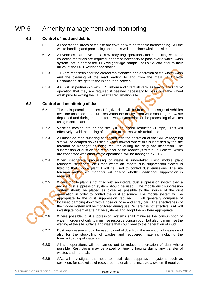# WP 6 Amenity management and monitoring

# **6.1 Control of mud and debris**

- 6.1.1 All operational areas of the site are covered with permeable hardstanding. All the waste handling and processing operations will take place within the site
- 6.1.2 All vehicles that leave the CDEW recycling operation after depositing waste or collecting materials are required if deemed necessary to pass over a wheel wash system that is part of the TTS weighbridge complex at La Collette prior to their arrival at the OUT weighbridge station.
- 6.1.3 TTS are responsible for the correct maintenance and operation of the wheel wash and the cleaning of the road leading to and from the main La Collette Reclamation site gate to the Island road network.
- 6.1.4 AAL will, in partnership with TTS, inform and direct all vehicles leaving the CDEW operation that they are required if deemed necessary to pass over the wheel wash prior to exiting the La Collette Reclamation site.

# **6.2 Control and monitoring of dust**

- 6.2.1 The main potential sources of fugitive dust will be from the passage of vehicles over the unsealed road surfaces within the facility, from wind scouring the waste deposited and during the transfer of wastes/materials or the processing of wastes using mobile plant.
- 6.2.2 Vehicles moving around the site will be speed restricted (10mph). This will effectively avoid the raising of dust due to excessive air turbulence.
- 6.2.3 All unsealed road surfacing connected with the operation of the CDEW recycling site will be damped down using a water bowser where this is identified by the site foreman or manager as being required during the daily site inspection. The suppression of dust on the remainder of the roadways within La Collette, which are connected with other waste operations, will be managed by TTS.
- 6.2.4 When mechanical processing of waste is undertaken using mobile plant (crushers, screeners, etc.) then where an integral dust suppression system is fitted to that mobile plant it will be used to control dust emissions. The site foreman and/or site manager will assess whether additional suppression is required.
- 6.2.5 Where mobile plant is not fitted with an integral dust suppression system then a mobile dust suppression system should be used. The mobile dust suppression system should be placed as close as possible to the source of the dust generation in order to control the dust at source. The mobile system will be appropriate to the dust suppression required. It will generally comprise of localised damping down with a hose or hose and spray bar. The effectiveness of the mobile system will be monitored during use. Where it is not effective, AAL will investigate potential alternative systems and adopt them where appropriate.



6.2.6 Where possible, dust suppression systems shall minimise the consumption of water in order not only to minimise resource consumption but also to minimise the wetting of the site surface and waste that could lead to the generation of mud.

- 6.2.7 Dust suppression should be used to control dust from the reception of wastes and also for the stockpiling of wastes and recovered materials including the transfer/loading of materials.
- 6.2.8 All site operations will be carried out to reduce the creation of dust where possible. Restrictions may be placed on tipping heights during any transfer of wastes and materials.
- 6.2.9 AAL will investigate the need to install dust suppression systems such as sprinklers for stockpiles of recovered materials and instigate a system if required.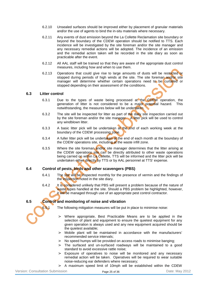- 6.2.10 Unsealed surfaces should be improved either by placement of granular materials and/or the use of agents to bind the in-situ materials where necessary.
- 6.2.11 Any events of dust emission beyond the La Collette Reclamation site boundary or beyond the boundary of the CDEW operation should be notified to TTS. Each incidence will be investigated by the site foreman and/or the site manager and any necessary remedial actions will be adopted. The incidence of an emission and the remedial action taken will be recorded in the site diary as soon as practicable after the event.
- 6.2.12 All AAL staff will be trained so that they are aware of the appropriate dust control measures, including how and when to use them.
- 6.2.13 Operations that could give rise to large amounts of dusts will be restricted or stopped during periods of high winds at the site. The site foreman and/or site manager will determine whether certain operations need to be curtailed or stopped depending on their assessment of the conditions.

### **6.3 Litter control**

- 6.3.1 Due to the types of waste being processed at the CDEW operation, the generation of litter is not considered to be a major potential hazard. This notwithstanding, the measures below will be undertaken.
- 6.3.2 The site will be inspected for litter as part of the daily site inspection carried out by the site foreman and/or the site manager. A litter pick will be used to control any windblown litter.
- 6.3.3 A basic litter pick will be undertaken at the end of each working week at the boundary of the CDEW processing zone.
- 6.3.4 A fuller litter pick will be undertaken at the end of each month at the boundary of the CDEW operations site, including at the waste infill zone.
- 6.3.5 Where the site foreman and/or site manager determines that the litter arising at the CDEW operations site can be directly attributed to other waste operations being carried on within La Collette, TTS will be informed and the litter pick will be undertaken either directly by TTS or by AAL personnel at TTS' expense.

# **6.4 Control of pests, birds and other scavengers (PBS)**

- 6.4.1 The site will be inspected monthly for the presence of vermin and the findings of the inspection noted in the site diary.
- 6.4.2 It is considered unlikely that PBS will present a problem because of the nature of waste types handled at the site. Should a PBS problem be highlighted, however, it will be managed through use of an appropriate pest control contractor.

#### **6.5 Control and monitoring of noise and vibration**

6.5.1 The following mitigation measures will be put in place to minimise noise:

- > Where appropriate, Best Practicable Means are to be applied in the selection of plant and equipment to ensure the quietest equipment for any given operation is always used and any new equipment acquired should be the quietest available;
- > Mobile plant will be maintained in accordance with the manufacturers' recommended service intervals;
- > No speed humps will be provided on access roads to minimise banging;
- > The surfaced and un-surfaced roadways will be maintained to a good standard to avoid excessive rattle noise;
- > Exposure of operatives to noise will be monitored and any necessary remedial action will be taken. Operatives will be required to wear suitable noise-reducing ear defenders where necessary;
- > A maximum speed limit of 10mph will be established within the CDEW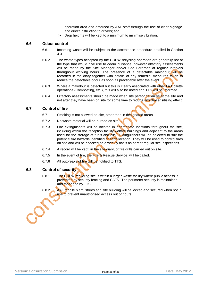operation area and enforced by AAL staff through the use of clear signage and direct instruction to drivers; and

> Drop heights will be kept to a minimum to minimise vibration.

### **6.6 Odour control**

- 6.6.1 Incoming waste will be subject to the acceptance procedure detailed in Section 4.3
- 6.6.2 The waste types accepted by the CDEW recycling operation are generally not of the type that would give rise to odour nuisance, however olfactory assessments will be made by the Site Manager and/or Site Foreman at regular intervals throughout working hours. The presence of a detectable malodour will be recorded in the diary together with details of any remedial measures taken to reduce the detectable odour as soon as practicable after the event.
- 6.6.3 Where a malodour is detected but this is clearly associated with other La Collette operations (Composting, etc.), this will also be noted and TTS will be informed.
- 6.6.4 Olfactory assessments should be made when site personnel arrive at the site and not after they have been on site for some time to reduce any de-sensitising effect.

### **6.7 Control of fire**

- 6.7.1 Smoking is not allowed on site, other than in designated areas.
- 6.7.2 No waste material will be burned on site.
- 6.7.3 Fire extinguishers will be located in appropriate locations throughout the site, including within the reception facility/welfare buildings and adjacent to the areas used for the storage of fuels and oils. Extinguishers will be selected to suit the potential fire hazards identified at each location. They will be used to control fires on site and will be checked on a weekly basis as part of regular site inspections.
- 6.7.4 A record will be kept, in the site diary, of fire drills carried out on site.
- 6.7.5 In the event of fire, the Fire & Rescue Service will be called.
- 6.7.6 All outbreaks of fire will be notified to TTS.

# **6.8 Control of security**

- 6.8.1 The CDEW recycling site is within a larger waste facility where public access is prevented by security fencing and CCTV. The perimeter security is maintained and managed by TTS.
- 6.8.2 AAL mobile plant, stores and site building will be locked and secured when not in use to prevent unauthorised access out of hours.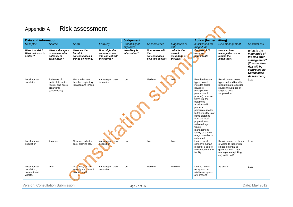# Appendix A Risk assessment

| <b>Data and information</b>                              |                                                                                        |                                                                  |                                                                    | <b>Judgement</b>               |                                                              |                                                     | <b>Action (by permitting)</b>                                                                                                                                                                                                                                                                                                                                                          |                                                                                                                                                |                                                                                                                                               |
|----------------------------------------------------------|----------------------------------------------------------------------------------------|------------------------------------------------------------------|--------------------------------------------------------------------|--------------------------------|--------------------------------------------------------------|-----------------------------------------------------|----------------------------------------------------------------------------------------------------------------------------------------------------------------------------------------------------------------------------------------------------------------------------------------------------------------------------------------------------------------------------------------|------------------------------------------------------------------------------------------------------------------------------------------------|-----------------------------------------------------------------------------------------------------------------------------------------------|
| Receptor                                                 | Source                                                                                 | Harm                                                             | Pathway                                                            | Probability of<br>exposure     | Consequence                                                  | Magnitude of<br>risk                                | Justification for<br>magnitude                                                                                                                                                                                                                                                                                                                                                         | <b>Risk management</b>                                                                                                                         | <b>Residual risk</b>                                                                                                                          |
| What is at risk?<br>What do I wish to<br>protect?        | What is the agent<br>or process with<br>potential to<br>cause harm?                    | What are the<br>harmful<br>consequences if<br>things go wrong?   | How might the<br>receptor come<br>into contact with<br>the source? | How likely is<br>this contact? | How severe will<br>the<br>consequences<br>be if this occurs? | What is the<br>overall<br>magnitude of<br>the risk? | On what did I<br>base my<br>judgement?                                                                                                                                                                                                                                                                                                                                                 | How can I best<br>manage the risk to<br>reduce the<br>magnitude?                                                                               | What is the<br>magnitude of<br>the risk after<br>management?<br>(This residual<br>risk will be<br>controlled by<br>Compliance<br>Assessment). |
| Local human<br>population                                | Releases of<br>particulate matter<br>(dusts) and micro-<br>organisms<br>(bioaerosols). | Harm to human<br>health - respiratory<br>irritation and illness. | Air transport then<br>inhalation.                                  | Low                            | Medium                                                       | Low                                                 | Permitted waste<br>types do not<br>includes dusts.<br>powders<br>(exception of<br>plasterboard<br>powder) or loose<br>fibres but the<br>treatment<br>activities will<br>produce<br>particulate matter<br>but the facility is at<br>some distance<br>from the local<br>population and<br>within a larger<br>waste<br>management<br>facility so a Low<br>magnitude risk is<br>estimated. | Restriction on waste<br>types and additionally<br>mitigation at production<br>source though use of<br>targeted dust<br>suppression.            | Low                                                                                                                                           |
| Local human<br>population                                | As above                                                                               | Nuisance - dust on<br>cars, clothing etc.                        | Air transport then<br>deposition                                   | Low                            | Low                                                          | Low                                                 | Limited local<br>sensitive human<br>receptor s due to<br>the location of the<br>facility.                                                                                                                                                                                                                                                                                              | Restriction on the types<br>of waste to those with<br>limited potential to<br>generate litter. Litter<br>management (picking<br>etc) within WP | Low                                                                                                                                           |
| Local human<br>population,<br>livestock and<br>wildlife. | Litter                                                                                 | Nuisance, loss of<br>amenity and harm to<br>animal health        | Air transport then<br>deposition                                   | Low                            | Medium                                                       | Medium                                              | <b>Limited human</b><br>receptors, but<br>wildlife receptors<br>are present.                                                                                                                                                                                                                                                                                                           | As above.                                                                                                                                      | Low                                                                                                                                           |

Version: Consultation Submission **Page 27 of 36** Page 27 of 36 Date: May 2012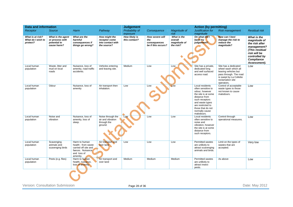|                                                   | <b>Data and information</b>                                         |                                                                                                             |                                                                    | <b>Judgement</b>               |                                                              |                                                     | <b>Action (by permitting)</b>                                                                                                                                                                                  |                                                                                                                                                             |                                                                                                                                               |
|---------------------------------------------------|---------------------------------------------------------------------|-------------------------------------------------------------------------------------------------------------|--------------------------------------------------------------------|--------------------------------|--------------------------------------------------------------|-----------------------------------------------------|----------------------------------------------------------------------------------------------------------------------------------------------------------------------------------------------------------------|-------------------------------------------------------------------------------------------------------------------------------------------------------------|-----------------------------------------------------------------------------------------------------------------------------------------------|
| Receptor                                          | <b>Source</b>                                                       | Harm                                                                                                        | Pathway                                                            | Probability of<br>exposure     | Consequence                                                  | Magnitude of<br>risk                                | Justification for<br>magnitude                                                                                                                                                                                 | <b>Risk management</b>                                                                                                                                      | <b>Residual risk</b>                                                                                                                          |
| What is at risk?<br>What do I wish to<br>protect? | What is the agent<br>or process with<br>potential to<br>cause harm? | What are the<br>harmful<br>consequences if<br>things go wrong?                                              | How might the<br>receptor come<br>into contact with<br>the source? | How likely is<br>this contact? | How severe will<br>the<br>consequences<br>be if this occurs? | What is the<br>overall<br>magnitude of<br>the risk? | On what did I<br>base my<br>judgement?                                                                                                                                                                         | How can I best<br>manage the risk to<br>reduce the<br>magnitude?                                                                                            | What is the<br>magnitude of<br>the risk after<br>management?<br>(This residual<br>risk will be<br>controlled by<br>Compliance<br>Assessment). |
| Local human<br>population                         | Waste, litter and<br>mud on local<br>roads                          | Nuisance, loss of<br>amenity, road traffic<br>accidents.                                                    | Vehicles entering<br>and leaving site.                             | Medium                         | Low                                                          | Low                                                 | Site has a private,<br>dedicated long<br>and well surfaced<br>access road.                                                                                                                                     | Site has a dedicated<br>wheel wash which all<br>leaving vehicles but<br>pass through. The road<br>is swept by La Collette<br>reclamation site<br>operators. | Low                                                                                                                                           |
| Local human<br>population                         | Odour                                                               | Nuisance, loss of<br>amenity                                                                                | Air transport then<br>inhalation.                                  | Low                            | Low                                                          | Low                                                 | Local residents<br>often sensitive to<br>odour, however<br>the site is at some<br>distance from<br>such receptors<br>and waste types<br>are restricted to<br>those that do not<br>normally cause<br>malodours. | Control of acceptable<br>waste types to those<br>not known to cause<br>malodours.                                                                           | Low                                                                                                                                           |
| Local human<br>population                         | Noise and<br>vibration                                              | Nuisance, loss of<br>amenity, loss of<br>sleep.                                                             | Noise through the<br>air and vibration<br>through the<br>ground.   | Low                            | Low                                                          | Low                                                 | Local residents<br>often sensitive to<br>noise and<br>vibration, however<br>the site is at some<br>distance from<br>such receptors.                                                                            | Control through<br>operational measures.                                                                                                                    | Low                                                                                                                                           |
| Local human<br>population                         | Scavenging<br>animals and<br>scavenging birds                       | Harm to human<br>health - from waste<br>carried off site and<br>faeces. Nuisance<br>and loss of<br>amenity. | Air transport and<br>over land                                     | Low                            | Low                                                          | Low                                                 | Permitted wastes<br>are unlikely to<br>attract scavenging<br>animals and birds.                                                                                                                                | Limit on the types of<br>wastes that are<br>accepted.                                                                                                       | Very low                                                                                                                                      |
| Local human<br>population                         | Pests (e.g. flies)                                                  | Harm to human<br>health, nuisance,<br>loss of amenity                                                       | Air transport and<br>over land                                     | Medium                         | Medium                                                       | Medium                                              | Permitted wastes<br>are unlikely to<br>attract insect<br>pests.                                                                                                                                                | As above                                                                                                                                                    | Low                                                                                                                                           |
|                                                   |                                                                     |                                                                                                             |                                                                    |                                |                                                              |                                                     |                                                                                                                                                                                                                |                                                                                                                                                             |                                                                                                                                               |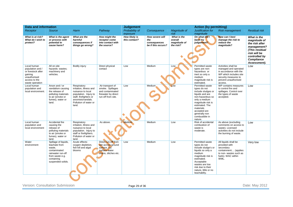| Data and information                                                                                                 |                                                                                                                                            |                                                                                                                                                                        |                                                                                                       | <b>Judgement</b>               |                                                              |                                                     | <b>Action (by permitting)</b>                                                                                                                                                                                                   |                                                                                                                                                            |                                                                                                                                                      |
|----------------------------------------------------------------------------------------------------------------------|--------------------------------------------------------------------------------------------------------------------------------------------|------------------------------------------------------------------------------------------------------------------------------------------------------------------------|-------------------------------------------------------------------------------------------------------|--------------------------------|--------------------------------------------------------------|-----------------------------------------------------|---------------------------------------------------------------------------------------------------------------------------------------------------------------------------------------------------------------------------------|------------------------------------------------------------------------------------------------------------------------------------------------------------|------------------------------------------------------------------------------------------------------------------------------------------------------|
| Receptor                                                                                                             | <b>Source</b>                                                                                                                              | Harm                                                                                                                                                                   | Pathway                                                                                               | Probability of<br>exposure     | Consequence                                                  | Magnitude of<br>risk                                | Justification for<br>magnitude                                                                                                                                                                                                  | <b>Risk management</b>                                                                                                                                     | <b>Residual risk</b>                                                                                                                                 |
| What is at risk?<br>What do I wish to<br>protect?                                                                    | What is the agent<br>or process with<br>potential to<br>cause harm?                                                                        | What are the<br>harmful<br>consequences if<br>things go wrong?                                                                                                         | How might the<br>receptor come<br>into contact with<br>the source?                                    | How likely is<br>this contact? | How severe will<br>the<br>consequences<br>be if this occurs? | What is the<br>overall<br>magnitude of<br>the risk? | On what did I<br>base my<br>judgement?                                                                                                                                                                                          | How can I best<br>manage the risk to<br>reduce the<br>magnitude?                                                                                           | What is the<br>magnitude of<br>the risk after<br>management?<br>(This residual<br>risk will be<br>controlled by<br><b>Compliance</b><br>Assessment). |
| Local human<br>population and /<br>or livestock after<br>gaining<br>unauthorised<br>access to the<br>waste operation | All on-site<br>hazards: wastes;<br>machinery and<br>vehicles.                                                                              | Bodily injury                                                                                                                                                          | Direct physical<br>contact                                                                            | Low                            | Medium                                                       | Low                                                 | Permitted waste<br>types are non-<br>hazardous or<br>inert so only a<br>medium<br>magnitude risk is<br>estimated.                                                                                                               | Activities shall be<br>managed and operated<br>in accordance with the<br>WP which includes site<br>security measures to<br>prevent unauthorised<br>access. | Low                                                                                                                                                  |
| Local human<br>population and<br>local environment.                                                                  | Arson and / or<br>vandalism causing<br>the release of<br>polluting materials<br>to air (smoke or<br>fumes), water or<br>land.              | Respiratory<br>irritation, illness and<br>nuisance to local<br>population. Injury to<br>staff, firefighters or<br>arsonists/vandals.<br>Pollution of water or<br>land. | Air transport of<br>smoke. Spillages<br>and contaminated<br>firewater by direct<br>run-off from site. | Low                            | Medium                                                       | Low                                                 | Permitted waste<br>types do not<br>include sludges or<br>liquids and are<br>non-hazardous so<br>only a medium<br>magnitude risk is<br>estimated. The<br>materials<br>accepted are<br>generally non<br>combustible in<br>nature. | WP contains measures<br>to control fire and<br>spillages. Control over<br>the types of waste<br>accepted.                                                  | Low                                                                                                                                                  |
| Local human<br>population and<br>local environment                                                                   | Accidental fire<br>causing the<br>release of<br>polluting materials<br>to air (smoke or<br>fumes), water or<br>land.                       | Respiratory<br>irritation, illness and<br>nuisance to local<br>population. Injury to<br>staff or firefighters.<br>Pollution of water or<br>land.                       | As above.                                                                                             | Medium                         | Medium                                                       | Low                                                 | Risk of accidental<br>combustion of<br>waste is<br>moderate.                                                                                                                                                                    | As above (excluding<br>comments on access to<br>waste). Licensed<br>activities do not include<br>the burning of waste.                                     | Low                                                                                                                                                  |
| Water<br>environment                                                                                                 | Spillage of liquids,<br>leachate from<br>waste,<br>contaminated<br>rainwater run-off<br>from waste e.g.<br>containing<br>suspended solids. | Acute effects:<br>oxygen depletion,<br>fish kill and algal<br>blooms                                                                                                   | Direct run-off from<br>site across ground<br>surface, via<br>surface water<br>drains, ditches etc.    | Low                            | Medium                                                       | Low                                                 | Permitted waste<br>types do not<br>include sludge's or<br>liquids so only a<br>medium<br>magnitude risk is<br>estimated.<br>Acceptable<br>wastes are low<br>risk due to their<br>nature, little or no<br>leachabilty.           | All liquids shall be<br>provided with<br>secondary<br>containment (applies<br>to non-wastes such as<br>fuels). WAC within<br>WML.                          | Very low                                                                                                                                             |

Version: Consultation Submission **Page 29 of 36** Page 29 of 36 Date: May 2012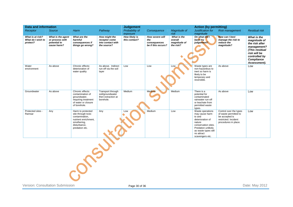| <b>Data and information</b>                       |                                                                     |                                                                                                                                    |                                                                          | <b>Judgement</b>                      |                                                              |                                                     | <b>Action (by permitting)</b>                                                                                                                                                   |                                                                                                                   |                                                                                                                                               |
|---------------------------------------------------|---------------------------------------------------------------------|------------------------------------------------------------------------------------------------------------------------------------|--------------------------------------------------------------------------|---------------------------------------|--------------------------------------------------------------|-----------------------------------------------------|---------------------------------------------------------------------------------------------------------------------------------------------------------------------------------|-------------------------------------------------------------------------------------------------------------------|-----------------------------------------------------------------------------------------------------------------------------------------------|
| Receptor                                          | <b>Source</b>                                                       | Harm                                                                                                                               | Pathway                                                                  | Probability of<br>exposure            | Consequence                                                  | Magnitude of<br>risk                                | Justification for<br>magnitude                                                                                                                                                  | <b>Risk management</b>                                                                                            | <b>Residual risk</b>                                                                                                                          |
| What is at risk?<br>What do I wish to<br>protect? | What is the agent<br>or process with<br>potential to<br>cause harm? | What are the<br>harmful<br>consequences if<br>things go wrong?                                                                     | How might the<br>receptor come<br>into contact with<br>the source?       | <b>How likely is</b><br>this contact? | How severe will<br>the<br>consequences<br>be if this occurs? | What is the<br>overall<br>magnitude of<br>the risk? | On what did I<br>base my<br>judgement?                                                                                                                                          | How can I best<br>manage the risk to<br>reduce the<br>magnitude?                                                  | What is the<br>magnitude of<br>the risk after<br>management?<br>(This residual<br>risk will be<br>controlled by<br>Compliance<br>Assessment). |
| Water<br>environment                              | As above                                                            | Chronic effects:<br>deterioration of<br>water quality                                                                              | As above. Indirect<br>run-off via the soil<br>layer                      | Low                                   | Low                                                          | Low                                                 | Waste types are<br>non-hazardous to<br>inert so harm is<br>likely to be<br>temporary and<br>reversible.                                                                         | As above                                                                                                          | Low                                                                                                                                           |
| Groundwater                                       | As above                                                            | Chronic effects:<br>contamination of<br>groundwater,<br>requiring treatment<br>of water or closure<br>of borehole.                 | Transport through<br>soil/groundwater<br>then extraction at<br>borehole. | Medium                                | Medium                                                       | Medium                                              | There is a<br>potential for<br>contaminated<br>rainwater run-off<br>or leachate from<br>permitted waste<br>types.                                                               | As above                                                                                                          | Low                                                                                                                                           |
| Protected sites -<br>Ramsar                       | Any                                                                 | Harm to protected<br>site through toxic<br>contamination,<br>nutrient enrichment,<br>smothering,<br>disturbance,<br>predation etc. | Any                                                                      | Low                                   | Medium                                                       | Low                                                 | Waste operations<br>may cause harm<br>to and<br>deterioration of<br>nature<br>conservation sites.<br>Predation unlikely<br>as waste types will<br>no attract<br>scavengers etc. | Control over the types<br>of waste permitted to<br>be accepted is<br>restricted. Incident<br>procedures in place. | Low                                                                                                                                           |
|                                                   |                                                                     |                                                                                                                                    |                                                                          |                                       |                                                              |                                                     |                                                                                                                                                                                 |                                                                                                                   |                                                                                                                                               |

Version: Consultation Submission **Page 30 of 36** Page 30 of 36 Date: May 2012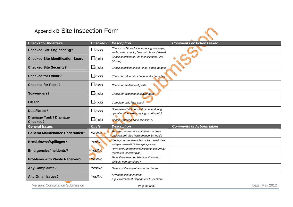# Appendix B Site Inspection Form



| <b>Checks to Undertake</b>                         | <b>Checked?</b>      | <b>Description</b>                                                                              | <b>Comments or Actions taken</b> |
|----------------------------------------------------|----------------------|-------------------------------------------------------------------------------------------------|----------------------------------|
| <b>Checked Site Engineering?</b>                   | $\Box$ (tick)        | Check condition of site surfacing, drainage,<br>walls, water supply, fire controls etc (Visual) |                                  |
| <b>Checked Site Identification Board</b>           | $\Box$ (tick)        | Check condition of Site Identification Sign<br>(Visual)                                         |                                  |
| <b>Checked Site Security?</b>                      | $\Box$ (tick)        | Check condition of site fence, gates, hedges                                                    |                                  |
| <b>Checked for Odour?</b>                          | $\Box$ (tick)        | Check for odour at or beyond site boundary                                                      |                                  |
| <b>Checked for Pests?</b>                          | $\Box$ (tick)        | Check for evidence of pests                                                                     |                                  |
| <b>Scavengers?</b>                                 | $\Box$ (tick)        | Check for evidence of scavengers                                                                |                                  |
| Litter?                                            | $\Box$ (tick)        | Complete daily litter check                                                                     |                                  |
| <b>Dust/Noise?</b>                                 | $\Box$ (tick)        | Undertake check for dust or noise during<br>operations(i.e. when tipping, sorting etc)          |                                  |
| <b>Drainage Tank / Drainage</b><br><b>Checked?</b> | $\square$ (tick)     | <b>Check Drainage Tank oil/silt level</b>                                                       |                                  |
| <b>General Issues</b>                              | <b>Circle</b>        | <b>Description</b>                                                                              | <b>Comments of Actions taken</b> |
| <b>General Maintenance Undertaken?</b>             | $Yes/No \rightarrow$ | Has any general site maintenance been<br>undertaken? See Maintenance Schedule                   |                                  |
| <b>Breakdowns/Spillages?</b>                       | Yes/No               | Has any site machinery/plant broken down? Have<br>spillages resulted? (Follow spillage plan)    |                                  |
| <b>Emergencies/Incidents?</b>                      | Yes/No               | Have any Emergencies/incidents occurred?<br>(complete incident plan)                            |                                  |
| <b>Problems with Waste Received?</b>               | Yes/No               | Have there been problems with wastes,<br>difficult, non-permitted?                              |                                  |
| <b>Any Complaints?</b>                             | Yes/No               | Nature of Complaint and action taken                                                            |                                  |
| <b>Any Other Issues?</b>                           | Yes/No               | Anything else of interest?<br>e.g. Environment Department Inspection?                           |                                  |

Version: Consultation Submission **Example 2012** Page 31 of 36 Date: May 2012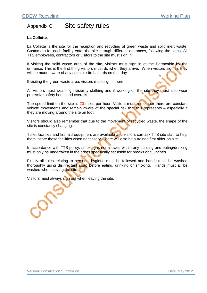# Appendix C Site safety rules -

# **La Collette.**

La Collette is the site for the reception and recycling of green waste and solid inert waste. Customers for each facility enter the site through different entrances, following the signs. All TTS employees, contractors or visitors to the site must sign in.

If visiting the solid waste area of the site, visitors must sign in at the Portacabin by the entrance. This is the first thing visitors must do when they arrive. When visitors sign in, they will be made aware of any specific site hazards on that day.

If visiting the green waste area, visitors must sign in here.

All visitors must wear high visibility clothing and if working on the site they must also wear protective safety boots and overalls.

The speed limit on the site is 20 miles per hour. Visitors must remember there are constant vehicle movements and remain aware of the special risk that this represents – especially if they are moving around the site on foot.

Visitors should also remember that due to the movement of recycled waste, the shape of the site is constantly changing.

Toilet facilities and first aid equipment are available and visitors can ask TTS site staff to help them locate these facilities when necessary. There will also be a trained first aider on site.

In accordance with TTS policy, smoking is not allowed within any building and eating/drinking must only be undertaken in the areas specifically set aside for breaks and lunches.

Finally all rules relating to personal hygiene must be followed and hands must be washed thoroughly using disinfectant soap before eating, drinking or smoking. Hands must all be washed when leaving the site.

Visitors must always sign out when leaving the site.

Version: Consultation Submission Date: May 2012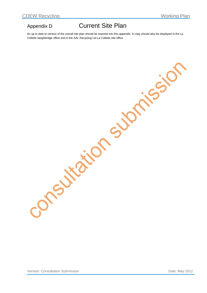# Appendix D Current Site Plan

An up to date to version of the overall site plan should be inserted into this appendix. A copy should also be displayed in the La Collette weighbridge office and in the AAL Recycling Ltd La Collette site office.

Version: Consultation Submission **Date: May 2012**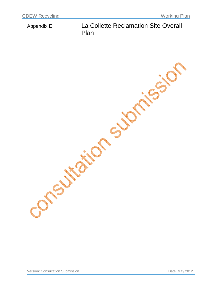# Appendix E La Collette Reclamation Site Overall Plan